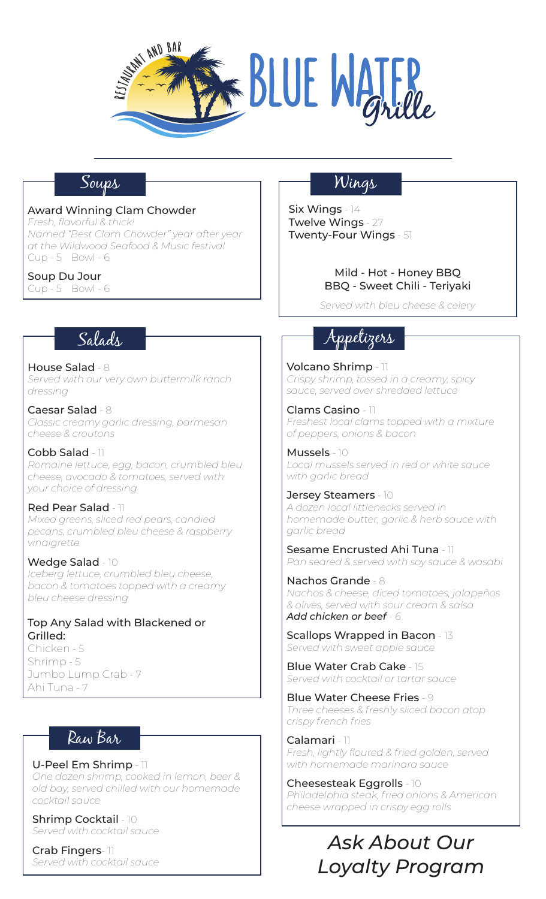

## Soups

#### Award Winning Clam Chowder

*Fresh, flavorful & thick! Named "Best Clam Chowder" year after year at the Wildwood Seafood & Music festival* Cup - 5 Bowl - 6

#### Soup Du Jour

Cup - 5 Bowl - 6

## Salads

House Salad - 8 *Served with our very own buttermilk ranch dressing*

Caesar Salad - 8 *Classic creamy garlic dressing, parmesan cheese & croutons*

Cobb Salad - 11 *Romaine lettuce, egg, bacon, crumbled bleu cheese, avocado & tomatoes, served with your choice of dressing*

#### Red Pear Salad - 11

*Mixed greens, sliced red pears, candied pecans, crumbled bleu cheese & raspberry vinaigrette*

#### Wedge Salad - 10

*Iceberg lettuce, crumbled bleu cheese, bacon & tomatoes topped with a creamy bleu cheese dressing*

#### Top Any Salad with Blackened or Grilled:

Chicken - 5 Shrimp - 5 Jumbo Lump Crab - 7 Ahi Tuna - 7

## Raw Bar

U-Peel Em Shrimp - 11 *One dozen shrimp, cooked in lemon, beer & old bay, served chilled with our homemade cocktail sauce*

Shrimp Cocktail - 10 *Served with cocktail sauce*

Crab Fingers- 11 *Served with cocktail sauce*

## Wings

Six Wings - 14 Twelve Wings - 27 Twenty-Four Wings - 51

#### Mild - Hot - Honey BBQ BBQ - Sweet Chili - Teriyaki

*Served with bleu cheese & celery*

# Appetizers

Volcano Shrimp - 11 *Crispy shrimp, tossed in a creamy, spicy sauce, served over shredded lettuce*

Clams Casino - 11 *Freshest local clams topped with a mixture of peppers, onions & bacon*

Mussels - 10 *Local mussels served in red or white sauce with garlic bread*

Jersey Steamers - 10 *A dozen local littlenecks served in homemade butter, garlic & herb sauce with garlic bread*

Sesame Encrusted Ahi Tuna - 11 *Pan seared & served with soy sauce & wasabi*

Nachos Grande - 8 *Nachos & cheese, diced tomatoes, jalapeños & olives, served with sour cream & salsa Add chicken or beef - 6*

Scallops Wrapped in Bacon - 13 *Served with sweet apple sauce*

Blue Water Crab Cake - 15 *Served with cocktail or tartar sauce*

Blue Water Cheese Fries - 9 *Three cheeses & freshly sliced bacon atop crispy french fries*

Calamari - 11 *Fresh, lightly floured & fried golden, served with homemade marinara sauce*

Cheesesteak Eggrolls - 10 *Philadelphia steak, fried onions & American cheese wrapped in crispy egg rolls*

# *Ask About Our Loyalty Program*